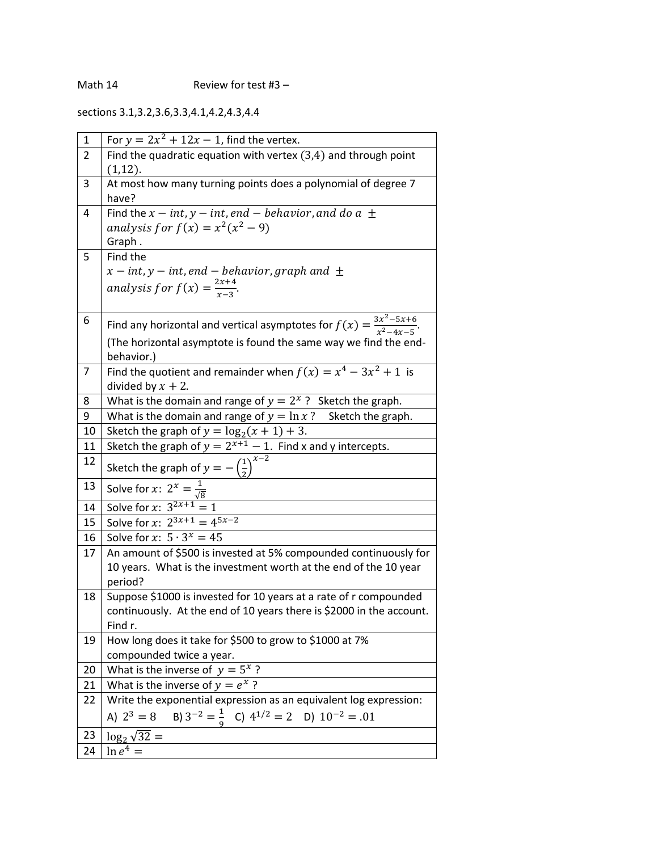sections 3.1,3.2,3.6,3.3,4.1,4.2,4.3,4.4

| 1              | For $y = 2x^2 + 12x - 1$ , find the vertex.                                            |
|----------------|----------------------------------------------------------------------------------------|
| $\overline{2}$ | Find the quadratic equation with vertex $(3,4)$ and through point                      |
|                | $(1,12)$ .                                                                             |
| 3              | At most how many turning points does a polynomial of degree 7                          |
|                | have?                                                                                  |
| 4              | Find the $x - int$ , $y - int$ , end – behavior, and do a $\pm$                        |
|                | analysis for $f(x) = x^2(x^2 - 9)$                                                     |
|                | Graph.                                                                                 |
| 5              | Find the                                                                               |
|                | x – int, y – int, end – behavior, graph and $\pm$                                      |
|                | analysis for $f(x) = \frac{2x+4}{x-3}$ .                                               |
|                |                                                                                        |
| 6              | Find any horizontal and vertical asymptotes for $f(x) = \frac{3x^2-5x+6}{x^2-4x-5}$ .  |
|                | (The horizontal asymptote is found the same way we find the end-                       |
|                | behavior.)                                                                             |
| 7              | Find the quotient and remainder when $f(x) = x^4 - 3x^2 + 1$ is                        |
|                | divided by $x + 2$ .                                                                   |
| 8              | What is the domain and range of $y = 2^x$ ? Sketch the graph.                          |
| 9              | What is the domain and range of $y = \ln x$ ? Sketch the graph.                        |
| 10             | Sketch the graph of $y = log_2(x + 1) + 3$ .                                           |
| 11             | Sketch the graph of $y = 2^{x+1} - 1$ . Find x and y intercepts.                       |
| 12             | Sketch the graph of $y = -(\frac{1}{2})^{x-2}$                                         |
| 13             | Solve for <i>x</i> : $2^x = \frac{1}{\sqrt{8}}$<br>Solve for <i>x</i> : $3^{2x+1} = 1$ |
| 14             |                                                                                        |
| 15             | Solve for x: $2^{3x+1} = 4^{5x-2}$                                                     |
| 16             | Solve for x: $5 \cdot 3^x = 45$                                                        |
| 17             | An amount of \$500 is invested at 5% compounded continuously for                       |
|                | 10 years. What is the investment worth at the end of the 10 year                       |
|                | period?                                                                                |
| 18             | Suppose \$1000 is invested for 10 years at a rate of r compounded                      |
|                | continuously. At the end of 10 years there is \$2000 in the account.                   |
|                | Find r.                                                                                |
| 19             | How long does it take for \$500 to grow to \$1000 at 7%                                |
|                | compounded twice a year.                                                               |
| 20<br>21       | What is the inverse of $y = 5^x$ ?<br>What is the inverse of $y = e^x$ ?               |
| 22             | Write the exponential expression as an equivalent log expression:                      |
|                |                                                                                        |
|                | A) $2^3 = 8$ B) $3^{-2} = \frac{1}{9}$ C) $4^{1/2} = 2$ D) $10^{-2} = .01$             |
| 23             | $\log_2 \sqrt{32} =$                                                                   |
| 24             | $\ln e^4 =$                                                                            |